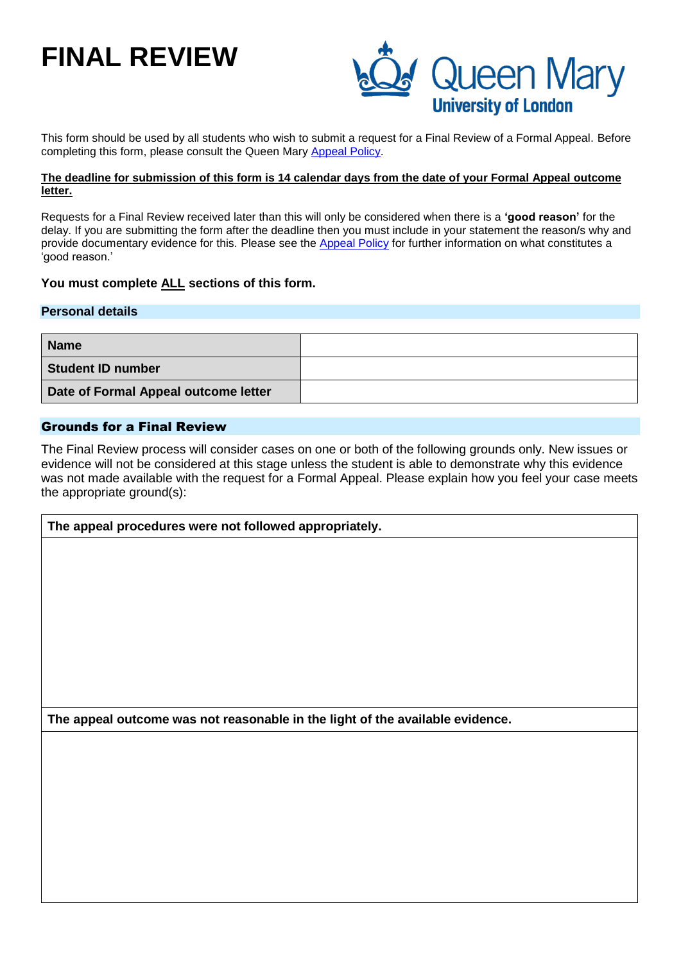# **FINAL REVIEW**



This form should be used by all students who wish to submit a request for a Final Review of a Formal Appeal. Before completing this form, please consult the Queen Mary [Appeal Policy.](http://www.arcs.qmul.ac.uk/students/student-appeals/appeals/)

#### **The deadline for submission of this form is 14 calendar days from the date of your Formal Appeal outcome letter.**

Requests for a Final Review received later than this will only be considered when there is a **'good reason'** for the delay. If you are submitting the form after the deadline then you must include in your statement the reason/s why and provide documentary evidence for this. Please see the [Appeal Policy](http://www.arcs.qmul.ac.uk/students/student-appeals/appeals/) for further information on what constitutes a 'good reason.'

### **You must complete ALL sections of this form.**

#### **Personal details**

| <b>Name</b>                          |  |
|--------------------------------------|--|
| <b>Student ID number</b>             |  |
| Date of Formal Appeal outcome letter |  |

## Grounds for a Final Review

The Final Review process will consider cases on one or both of the following grounds only. New issues or evidence will not be considered at this stage unless the student is able to demonstrate why this evidence was not made available with the request for a Formal Appeal. Please explain how you feel your case meets the appropriate ground(s):

**The appeal procedures were not followed appropriately.**

**The appeal outcome was not reasonable in the light of the available evidence.**